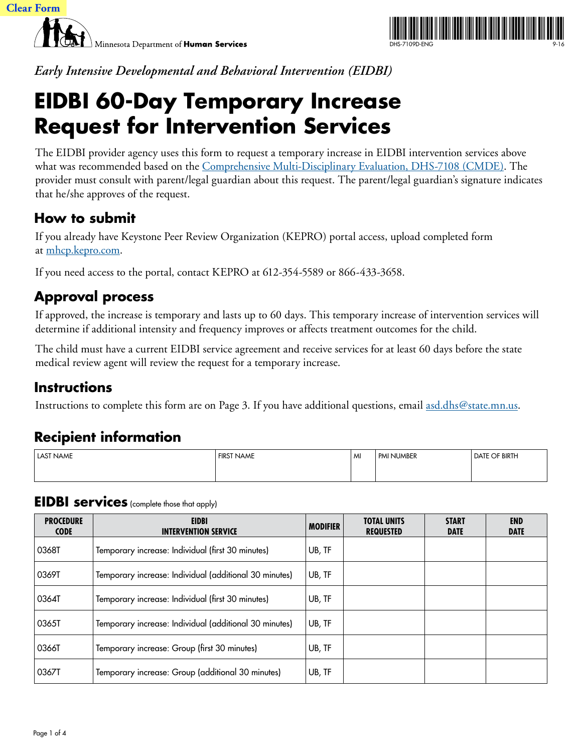



*Early Intensive Developmental and Behavioral Intervention (EIDBI)*

# **EIDBI 60-Day Temporary Increase Request for Intervention Services**

The EIDBI provider agency uses this form to request a temporary increase in EIDBI intervention services above what was recommended based on the [Comprehensive Multi-Disciplinary Evaluation, DHS-7108 \(CMDE\)](https://edocs.dhs.state.mn.us/lfserver/Public/DHS-7108-ENG). The provider must consult with parent/legal guardian about this request. The parent/legal guardian's signature indicates that he/she approves of the request.

### **How to submit**

If you already have Keystone Peer Review Organization (KEPRO) portal access, upload completed form at [mhcp.kepro.com](http://mhcp.kepro.com/).

If you need access to the portal, contact KEPRO at 612-354-5589 or 866-433-3658.

### **Approval process**

If approved, the increase is temporary and lasts up to 60 days. This temporary increase of intervention services will determine if additional intensity and frequency improves or affects treatment outcomes for the child.

The child must have a current EIDBI service agreement and receive services for at least 60 days before the state medical review agent will review the request for a temporary increase.

### **Instructions**

Instructions to complete this form are on Page 3. If you have additional questions, email <u>asd.dhs@state.mn.us</u>.

## **Recipient information**

| <b>LAST NAME</b> | <b>FIRST NAME</b> | l MI | I PMI NUMBER | <b>DATE OF BIRTH</b> |
|------------------|-------------------|------|--------------|----------------------|
|                  |                   |      |              |                      |

#### **EIDBI services** (complete those that apply)

| <b>PROCEDURE</b><br><b>CODE</b> | <b>EIDBI</b><br><b>INTERVENTION SERVICE</b>            | <b>MODIFIER</b> | <b>TOTAL UNITS</b><br><b>REQUESTED</b> | <b>START</b><br><b>DATE</b> | <b>END</b><br><b>DATE</b> |
|---------------------------------|--------------------------------------------------------|-----------------|----------------------------------------|-----------------------------|---------------------------|
| 0368T                           | Temporary increase: Individual (first 30 minutes)      | UB, TF          |                                        |                             |                           |
| 0369T                           | Temporary increase: Individual (additional 30 minutes) | UB, TF          |                                        |                             |                           |
| 0364T                           | Temporary increase: Individual (first 30 minutes)      | UB, TF          |                                        |                             |                           |
| 0365T                           | Temporary increase: Individual (additional 30 minutes) | UB, TF          |                                        |                             |                           |
| 0366T                           | Temporary increase: Group (first 30 minutes)           | UB, TF          |                                        |                             |                           |
| 0367T                           | Temporary increase: Group (additional 30 minutes)      | UB, TF          |                                        |                             |                           |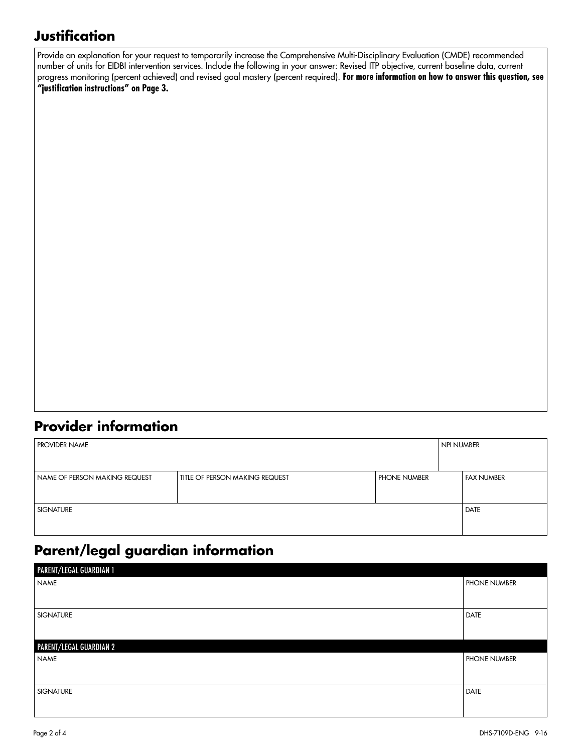### **Justification**

Provide an explanation for your request to temporarily increase the Comprehensive Multi-Disciplinary Evaluation (CMDE) recommended number of units for EIDBI intervention services. Include the following in your answer: Revised ITP objective, current baseline data, current progress monitoring (percent achieved) and revised goal mastery (percent required). **For more information on how to answer this question, see "justification instructions" on Page 3.**

#### **Provider information**

| <b>PROVIDER NAME</b>          |                                       |              | NPI NUMBER |            |
|-------------------------------|---------------------------------------|--------------|------------|------------|
|                               |                                       |              |            |            |
| NAME OF PERSON MAKING REQUEST | <b>TITLE OF PERSON MAKING REQUEST</b> | PHONE NUMBER |            | FAX NUMBER |
|                               |                                       |              |            |            |
| <b>SIGNATURE</b>              | <b>DATE</b>                           |              |            |            |
|                               |                                       |              |            |            |

### **Parent/legal guardian information**

| PARENT/LEGAL GUARDIAN 1 |                     |
|-------------------------|---------------------|
| <b>NAME</b>             | <b>PHONE NUMBER</b> |
|                         |                     |
| <b>SIGNATURE</b>        | <b>DATE</b>         |
|                         |                     |
| PARENT/LEGAL GUARDIAN 2 |                     |
| <b>NAME</b>             | <b>PHONE NUMBER</b> |
|                         |                     |
| <b>SIGNATURE</b>        | <b>DATE</b>         |
|                         |                     |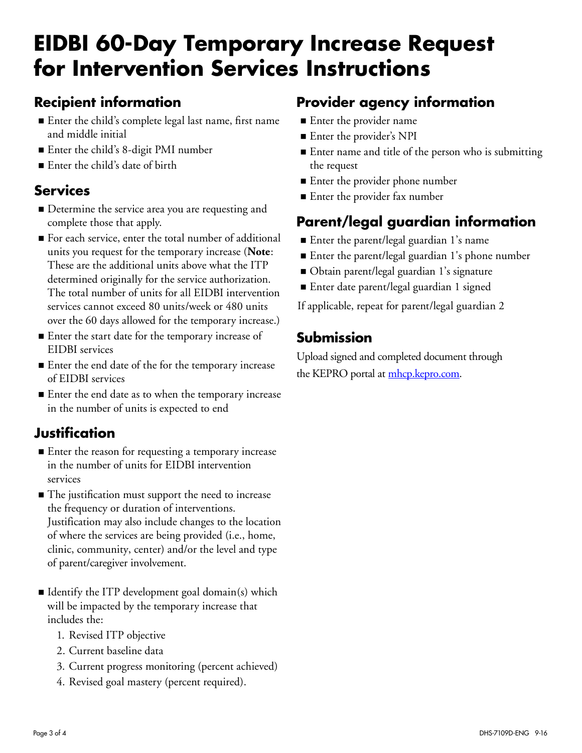# **EIDBI 60-Day Temporary Increase Request for Intervention Services Instructions**

### **Recipient information**

- Enter the child's complete legal last name, first name and middle initial
- Enter the child's 8-digit PMI number
- Enter the child's date of birth

#### **Services**

- Determine the service area you are requesting and complete those that apply.
- For each service, enter the total number of additional units you request for the temporary increase (**Note**: These are the additional units above what the ITP determined originally for the service authorization. The total number of units for all EIDBI intervention services cannot exceed 80 units/week or 480 units over the 60 days allowed for the temporary increase.)
- Enter the start date for the temporary increase of EIDBI services
- Enter the end date of the for the temporary increase of EIDBI services
- Enter the end date as to when the temporary increase in the number of units is expected to end

### **Justification**

- Enter the reason for requesting a temporary increase in the number of units for EIDBI intervention services
- The justification must support the need to increase the frequency or duration of interventions. Justification may also include changes to the location of where the services are being provided (i.e., home, clinic, community, center) and/or the level and type of parent/caregiver involvement.
- I dentify the ITP development goal domain(s) which will be impacted by the temporary increase that includes the:
	- 1. Revised ITP objective
	- 2. Current baseline data
	- 3. Current progress monitoring (percent achieved)
	- 4. Revised goal mastery (percent required).

### **Provider agency information**

- **Enter the provider name**
- Enter the provider's NPI
- Enter name and title of the person who is submitting the request
- Enter the provider phone number
- Enter the provider fax number

### **Parent/legal guardian information**

- Enter the parent/legal guardian 1's name
- Enter the parent/legal guardian 1's phone number
- Obtain parent/legal guardian 1's signature
- Enter date parent/legal guardian 1 signed

If applicable, repeat for parent/legal guardian 2

### **Submission**

Upload signed and completed document through the KEPRO portal at [mhcp.kepro.com.](http://mhcp.kepro.com/)